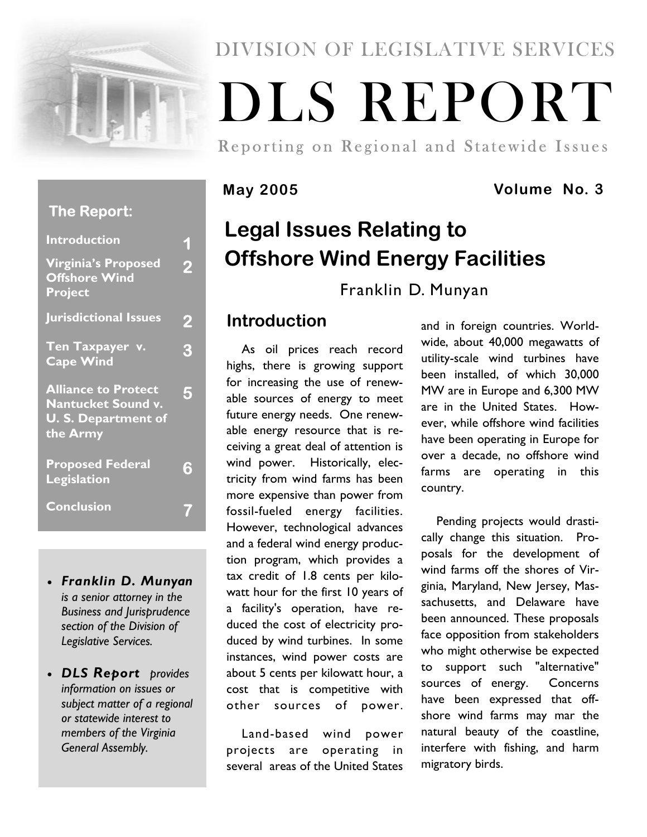

# DIVISION OF LEGISLATIVE SERVICES

# DLS REPORT

Reporting on Regional and Statewide Issues

# **May 2005 Volume No. 3**

# **Legal Issues Relating to Offshore Wind Energy Facilities**

Franklin D. Munyan

# **Introduction**

As oil prices reach record highs, there is growing support for increasing the use of renewable sources of energy to meet future energy needs. One renewable energy resource that is receiving a great deal of attention is wind power. Historically, electricity from wind farms has been more expensive than power from fossil-fueled energy facilities. However, technological advances and a federal wind energy production program, which provides a tax credit of 1.8 cents per kilowatt hour for the first 10 years of a facility's operation, have reduced the cost of electricity produced by wind turbines. In some instances, wind power costs are about 5 cents per kilowatt hour, a cost that is competitive with other sources of power.

Land-based wind power projects are operating in several areas of the United States

and in foreign countries. Worldwide, about 40,000 megawatts of utility-scale wind turbines have been installed, of which 30,000 MW are in Europe and 6,300 MW are in the United States. However, while offshore wind facilities have been operating in Europe for over a decade, no offshore wind farms are operating in this country.

Pending projects would drastically change this situation. Proposals for the development of wind farms off the shores of Virginia, Maryland, New Jersey, Massachusetts, and Delaware have been announced. These proposals face opposition from stakeholders who might otherwise be expected to support such "alternative" sources of energy. Concerns have been expressed that offshore wind farms may mar the natural beauty of the coastline, interfere with fishing, and harm migratory birds.

## **The Report:**

| <b>Introduction</b>                                                                               | 1              |
|---------------------------------------------------------------------------------------------------|----------------|
| <b>Virginia's Proposed</b><br><b>Offshore Wind</b><br><b>Project</b>                              | $\overline{2}$ |
| <b>Jurisdictional Issues</b>                                                                      | 2              |
| Ten Taxpayer v.<br><b>Cape Wind</b>                                                               | 3              |
| <b>Alliance to Protect</b><br><b>Nantucket Sound v.</b><br><b>U. S. Department of</b><br>the Army | 5              |
| <b>Proposed Federal</b><br><b>Legislation</b>                                                     | ð              |
| <b>Conclusion</b>                                                                                 |                |

- *Franklin D. Munyan is a senior attorney in the Business and Jurisprudence section of the Division of Legislative Services.*
- *DLS Report provides information on issues or subject matter of a regional or statewide interest to members of the Virginia General Assembly.*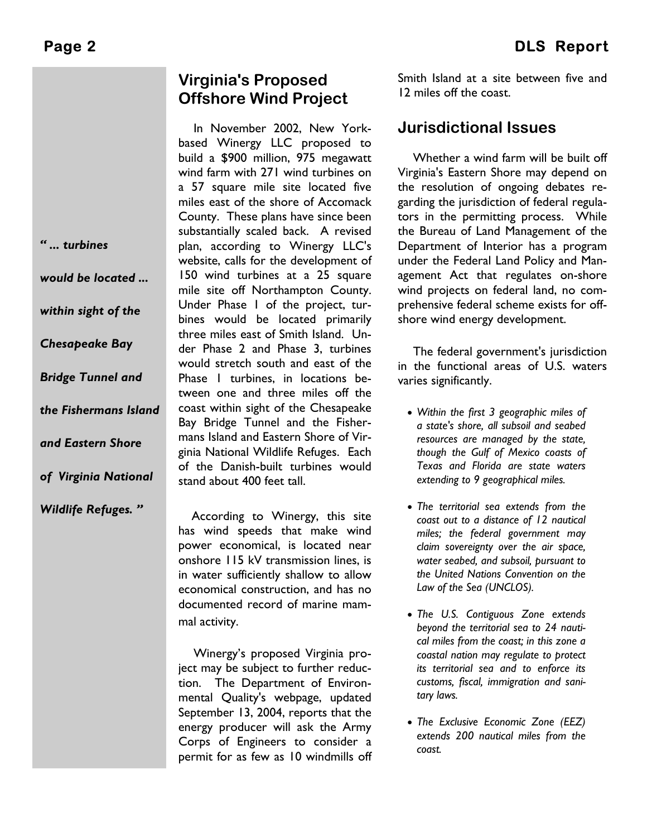*" ... turbines* 

*would be located ...* 

*within sight of the* 

*Chesapeake Bay* 

*Bridge Tunnel and* 

*and Eastern Shore* 

*of Virginia National* 

*Wildlife Refuges. "* 

*the Fishermans Island* 

# **Virginia's Proposed Offshore Wind Project**

In November 2002, New Yorkbased Winergy LLC proposed to build a \$900 million, 975 megawatt wind farm with 271 wind turbines on a 57 square mile site located five miles east of the shore of Accomack County. These plans have since been substantially scaled back. A revised plan, according to Winergy LLC's website, calls for the development of 150 wind turbines at a 25 square mile site off Northampton County. Under Phase 1 of the project, turbines would be located primarily three miles east of Smith Island. Under Phase 2 and Phase 3, turbines would stretch south and east of the Phase 1 turbines, in locations between one and three miles off the coast within sight of the Chesapeake Bay Bridge Tunnel and the Fishermans Island and Eastern Shore of Virginia National Wildlife Refuges. Each of the Danish-built turbines would stand about 400 feet tall.

According to Winergy, this site has wind speeds that make wind power economical, is located near onshore 115 kV transmission lines, is in water sufficiently shallow to allow economical construction, and has no documented record of marine mammal activity.

Winergy's proposed Virginia project may be subject to further reduction. The Department of Environmental Quality's webpage, updated September 13, 2004, reports that the energy producer will ask the Army Corps of Engineers to consider a permit for as few as 10 windmills off

Smith Island at a site between five and 12 miles off the coast.

# **Jurisdictional Issues**

Whether a wind farm will be built off Virginia's Eastern Shore may depend on the resolution of ongoing debates regarding the jurisdiction of federal regulators in the permitting process. While the Bureau of Land Management of the Department of Interior has a program under the Federal Land Policy and Management Act that regulates on-shore wind projects on federal land, no comprehensive federal scheme exists for offshore wind energy development.

The federal government's jurisdiction in the functional areas of U.S. waters varies significantly.

- *Within the first 3 geographic miles of a state's shore, all subsoil and seabed resources are managed by the state, though the Gulf of Mexico coasts of Texas and Florida are state waters extending to 9 geographical miles.*
- *The territorial sea extends from the coast out to a distance of 12 nautical miles; the federal government may claim sovereignty over the air space, water seabed, and subsoil, pursuant to the United Nations Convention on the Law of the Sea (UNCLOS).*
- *The U.S. Contiguous Zone extends beyond the territorial sea to 24 nautical miles from the coast; in this zone a coastal nation may regulate to protect its territorial sea and to enforce its customs, fiscal, immigration and sanitary laws.*
- *The Exclusive Economic Zone (EEZ) extends 200 nautical miles from the coast.*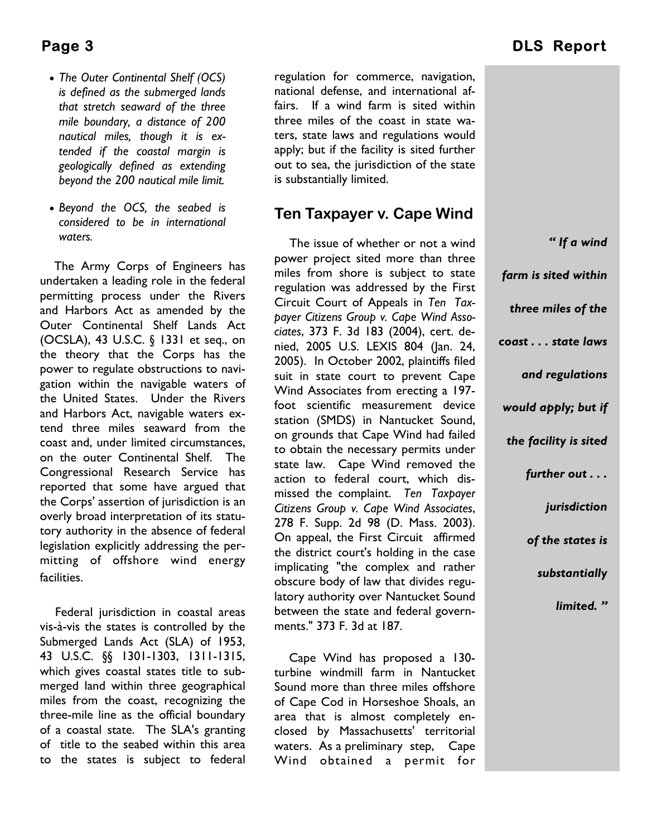- *The Outer Continental Shelf (OCS) is defined as the submerged lands that stretch seaward of the three mile boundary, a distance of 200 nautical miles, though it is extended if the coastal margin is geologically defined as extending beyond the 200 nautical mile limit.*
- *Beyond the OCS, the seabed is considered to be in international waters.*

The Army Corps of Engineers has undertaken a leading role in the federal permitting process under the Rivers and Harbors Act as amended by the Outer Continental Shelf Lands Act (OCSLA), 43 U.S.C. § 1331 et seq., on the theory that the Corps has the power to regulate obstructions to navigation within the navigable waters of the United States. Under the Rivers and Harbors Act, navigable waters extend three miles seaward from the coast and, under limited circumstances, on the outer Continental Shelf. The Congressional Research Service has reported that some have argued that the Corps' assertion of jurisdiction is an overly broad interpretation of its statutory authority in the absence of federal legislation explicitly addressing the permitting of offshore wind energy facilities.

Federal jurisdiction in coastal areas vis-à-vis the states is controlled by the Submerged Lands Act (SLA) of 1953, 43 U.S.C. §§ 1301-1303, 1311-1315, which gives coastal states title to submerged land within three geographical miles from the coast, recognizing the three-mile line as the official boundary of a coastal state. The SLA's granting of title to the seabed within this area to the states is subject to federal regulation for commerce, navigation, national defense, and international affairs. If a wind farm is sited within three miles of the coast in state waters, state laws and regulations would apply; but if the facility is sited further out to sea, the jurisdiction of the state is substantially limited.

## **Ten Taxpayer v. Cape Wind**

The issue of whether or not a wind power project sited more than three miles from shore is subject to state regulation was addressed by the First Circuit Court of Appeals in *Ten Taxpayer Citizens Group v. Cape Wind Associates*, 373 F. 3d 183 (2004), cert. denied, 2005 U.S. LEXIS 804 (Jan. 24, 2005). In October 2002, plaintiffs filed suit in state court to prevent Cape Wind Associates from erecting a 197 foot scientific measurement device station (SMDS) in Nantucket Sound, on grounds that Cape Wind had failed to obtain the necessary permits under state law. Cape Wind removed the action to federal court, which dismissed the complaint. *Ten Taxpayer Citizens Group v. Cape Wind Associates*, 278 F. Supp. 2d 98 (D. Mass. 2003). On appeal, the First Circuit affirmed the district court's holding in the case implicating "the complex and rather obscure body of law that divides regulatory authority over Nantucket Sound between the state and federal governments." 373 F. 3d at 187.

Cape Wind has proposed a 130 turbine windmill farm in Nantucket Sound more than three miles offshore of Cape Cod in Horseshoe Shoals, an area that is almost completely enclosed by Massachusetts' territorial waters. As a preliminary step, Cape Wind obtained a permit for

| "If a wind            |
|-----------------------|
| farm is sited within  |
| three miles of the    |
| coast state laws      |
| and regulations       |
| would apply; but if   |
| the facility is sited |
| further out           |
| jurisdiction          |
| of the states is      |
| substantially         |
| limited."             |
|                       |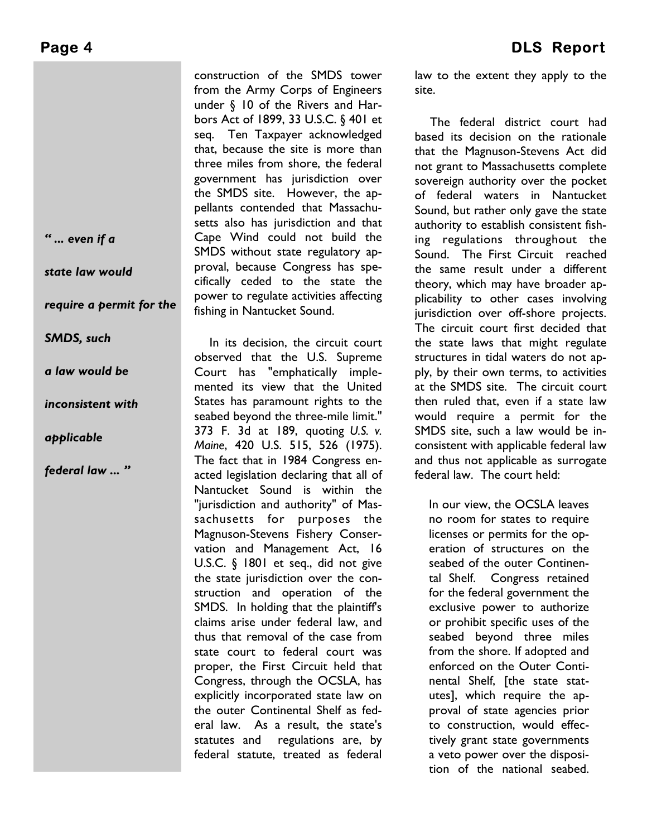*" ... even if a* 

*state law would* 

*require a permit for the* 

*SMDS, such* 

*a law would be* 

*inconsistent with* 

*applicable* 

*federal law ... ''* 

construction of the SMDS tower from the Army Corps of Engineers under § 10 of the Rivers and Harbors Act of 1899, 33 U.S.C. § 401 et seq. Ten Taxpayer acknowledged that, because the site is more than three miles from shore, the federal government has jurisdiction over the SMDS site. However, the appellants contended that Massachusetts also has jurisdiction and that Cape Wind could not build the SMDS without state regulatory approval, because Congress has specifically ceded to the state the power to regulate activities affecting fishing in Nantucket Sound.

In its decision, the circuit court observed that the U.S. Supreme Court has "emphatically implemented its view that the United States has paramount rights to the seabed beyond the three-mile limit." 373 F. 3d at 189, quoting *U.S. v. Maine*, 420 U.S. 515, 526 (1975). The fact that in 1984 Congress enacted legislation declaring that all of Nantucket Sound is within the "jurisdiction and authority" of Massachusetts for purposes the Magnuson-Stevens Fishery Conservation and Management Act, 16 U.S.C. § 1801 et seq., did not give the state jurisdiction over the construction and operation of the SMDS. In holding that the plaintiff's claims arise under federal law, and thus that removal of the case from state court to federal court was proper, the First Circuit held that Congress, through the OCSLA, has explicitly incorporated state law on the outer Continental Shelf as federal law. As a result, the state's statutes and regulations are, by federal statute, treated as federal

law to the extent they apply to the site.

The federal district court had based its decision on the rationale that the Magnuson-Stevens Act did not grant to Massachusetts complete sovereign authority over the pocket of federal waters in Nantucket Sound, but rather only gave the state authority to establish consistent fishing regulations throughout the Sound. The First Circuit reached the same result under a different theory, which may have broader applicability to other cases involving jurisdiction over off-shore projects. The circuit court first decided that the state laws that might regulate structures in tidal waters do not apply, by their own terms, to activities at the SMDS site. The circuit court then ruled that, even if a state law would require a permit for the SMDS site, such a law would be inconsistent with applicable federal law and thus not applicable as surrogate federal law. The court held:

In our view, the OCSLA leaves no room for states to require licenses or permits for the operation of structures on the seabed of the outer Continental Shelf. Congress retained for the federal government the exclusive power to authorize or prohibit specific uses of the seabed beyond three miles from the shore. If adopted and enforced on the Outer Continental Shelf, [the state statutes], which require the approval of state agencies prior to construction, would effectively grant state governments a veto power over the disposition of the national seabed.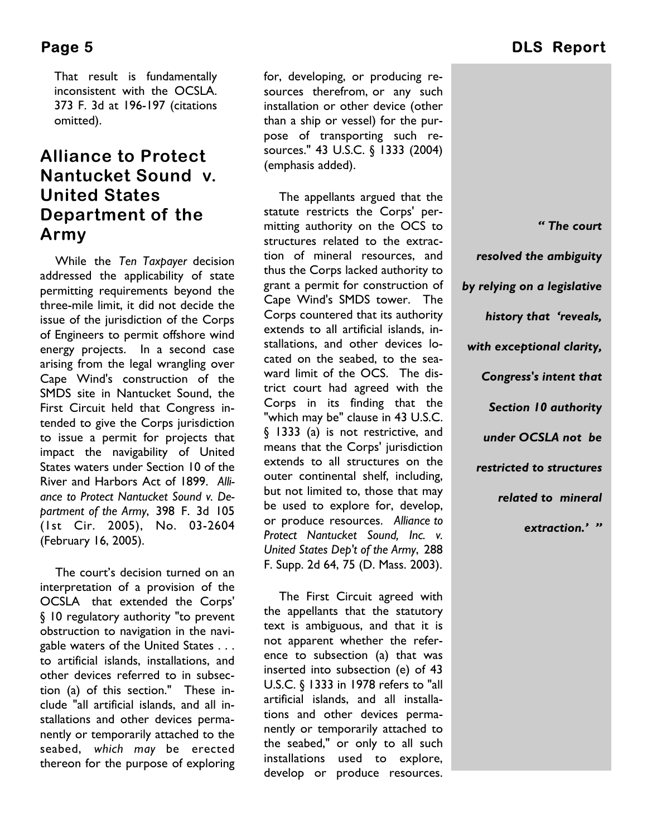That result is fundamentally inconsistent with the OCSLA. 373 F. 3d at 196-197 (citations omitted).

# **Alliance to Protect Nantucket Sound v. United States Department of the Army**

While the *Ten Taxpayer* decision addressed the applicability of state permitting requirements beyond the three-mile limit, it did not decide the issue of the jurisdiction of the Corps of Engineers to permit offshore wind energy projects. In a second case arising from the legal wrangling over Cape Wind's construction of the SMDS site in Nantucket Sound, the First Circuit held that Congress intended to give the Corps jurisdiction to issue a permit for projects that impact the navigability of United States waters under Section 10 of the River and Harbors Act of 1899. *Alliance to Protect Nantucket Sound v. Department of the Army*, 398 F. 3d 105 (1st Cir. 2005), No. 03-2604 (February 16, 2005).

The court's decision turned on an interpretation of a provision of the OCSLA that extended the Corps' § 10 regulatory authority "to prevent obstruction to navigation in the navigable waters of the United States . . . to artificial islands, installations, and other devices referred to in subsection (a) of this section." These include "all artificial islands, and all installations and other devices permanently or temporarily attached to the seabed, *which may* be erected thereon for the purpose of exploring

for, developing, or producing resources therefrom, or any such installation or other device (other than a ship or vessel) for the purpose of transporting such resources." 43 U.S.C. § 1333 (2004) (emphasis added).

The appellants argued that the statute restricts the Corps' permitting authority on the OCS to structures related to the extraction of mineral resources, and thus the Corps lacked authority to grant a permit for construction of Cape Wind's SMDS tower. The Corps countered that its authority extends to all artificial islands, installations, and other devices located on the seabed, to the seaward limit of the OCS. The district court had agreed with the Corps in its finding that the "which may be" clause in 43 U.S.C. § 1333 (a) is not restrictive, and means that the Corps' jurisdiction extends to all structures on the outer continental shelf, including, but not limited to, those that may be used to explore for, develop, or produce resources. *Alliance to Protect Nantucket Sound, Inc. v. United States Dep't of the Army*, 288 F. Supp. 2d 64, 75 (D. Mass. 2003).

The First Circuit agreed with the appellants that the statutory text is ambiguous, and that it is not apparent whether the reference to subsection (a) that was inserted into subsection (e) of 43 U.S.C. § 1333 in 1978 refers to "all artificial islands, and all installations and other devices permanently or temporarily attached to the seabed," or only to all such installations used to explore, develop or produce resources.

# **Page 5** DLS Report

*" The court resolved the ambiguity by relying on a legislative history that 'reveals, with exceptional clarity, Congress's intent that Section 10 authority under OCSLA not be restricted to structures related to mineral extraction.' ''*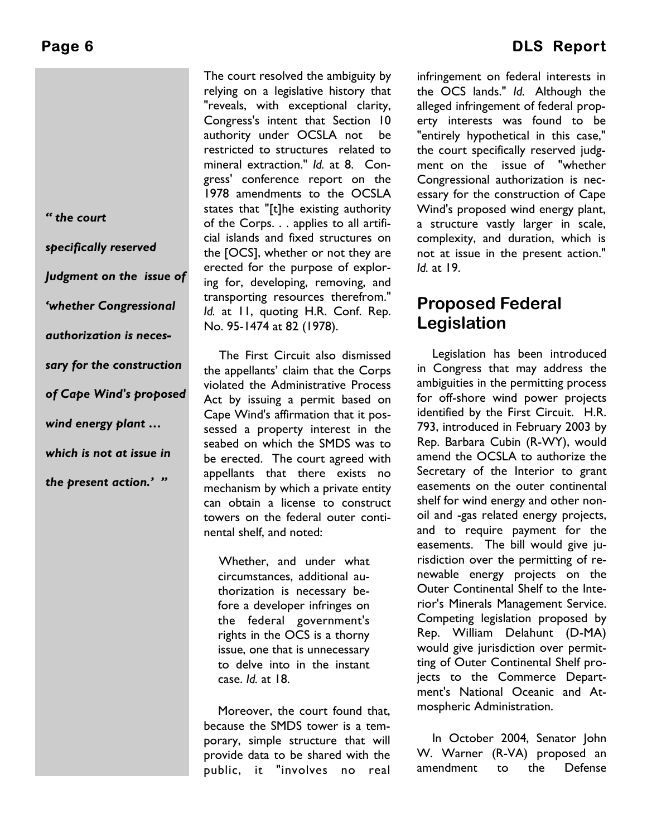*" the court* 

*specifically reserved Judgment on the issue of 'whether Congressional authorization is necessary for the construction of Cape Wind's proposed wind energy plant … which is not at issue in the present action.' ''* 

The court resolved the ambiguity by relying on a legislative history that "reveals, with exceptional clarity, Congress's intent that Section 10 authority under OCSLA not be restricted to structures related to mineral extraction." *Id.* at 8. Congress' conference report on the 1978 amendments to the OCSLA states that "[t]he existing authority of the Corps. . . applies to all artificial islands and fixed structures on the [OCS], whether or not they are erected for the purpose of exploring for, developing, removing, and transporting resources therefrom." *Id.* at 11, quoting H.R. Conf. Rep. No. 95-1474 at 82 (1978).

The First Circuit also dismissed the appellants' claim that the Corps violated the Administrative Process Act by issuing a permit based on Cape Wind's affirmation that it possessed a property interest in the seabed on which the SMDS was to be erected. The court agreed with appellants that there exists no mechanism by which a private entity can obtain a license to construct towers on the federal outer continental shelf, and noted:

Whether, and under what circumstances, additional authorization is necessary before a developer infringes on the federal government's rights in the OCS is a thorny issue, one that is unnecessary to delve into in the instant case. *Id.* at 18.

Moreover, the court found that, because the SMDS tower is a temporary, simple structure that will provide data to be shared with the public, it "involves no real

# Page 6 **DLS Report**

infringement on federal interests in the OCS lands." *Id.* Although the alleged infringement of federal property interests was found to be "entirely hypothetical in this case," the court specifically reserved judgment on the issue of "whether Congressional authorization is necessary for the construction of Cape Wind's proposed wind energy plant, a structure vastly larger in scale, complexity, and duration, which is not at issue in the present action." *Id.* at 19.

# **Proposed Federal Legislation**

Legislation has been introduced in Congress that may address the ambiguities in the permitting process for off-shore wind power projects identified by the First Circuit. H.R. 793, introduced in February 2003 by Rep. Barbara Cubin (R-WY), would amend the OCSLA to authorize the Secretary of the Interior to grant easements on the outer continental shelf for wind energy and other nonoil and -gas related energy projects, and to require payment for the easements. The bill would give jurisdiction over the permitting of renewable energy projects on the Outer Continental Shelf to the Interior's Minerals Management Service. Competing legislation proposed by Rep. William Delahunt (D-MA) would give jurisdiction over permitting of Outer Continental Shelf projects to the Commerce Department's National Oceanic and Atmospheric Administration.

In October 2004, Senator John W. Warner (R-VA) proposed an amendment to the Defense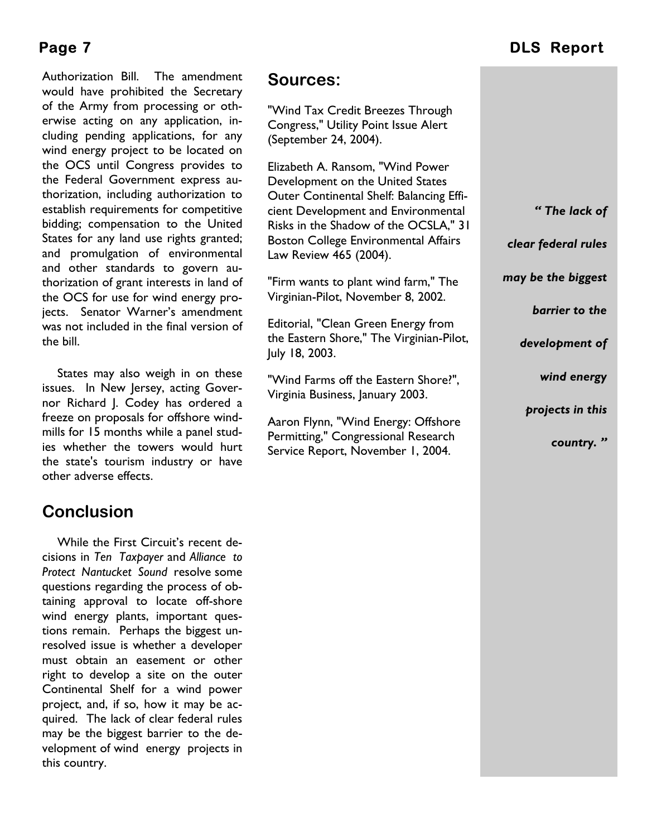Authorization Bill. The amendment would have prohibited the Secretary of the Army from processing or otherwise acting on any application, including pending applications, for any wind energy project to be located on the OCS until Congress provides to the Federal Government express authorization, including authorization to establish requirements for competitive bidding; compensation to the United States for any land use rights granted; and promulgation of environmental and other standards to govern authorization of grant interests in land of the OCS for use for wind energy projects. Senator Warner's amendment was not included in the final version of the bill.

States may also weigh in on these issues. In New Jersey, acting Governor Richard J. Codey has ordered a freeze on proposals for offshore windmills for 15 months while a panel studies whether the towers would hurt the state's tourism industry or have other adverse effects.

# **Conclusion**

While the First Circuit's recent decisions in *Ten Taxpayer* and *Alliance to Protect Nantucket Sound* resolve some questions regarding the process of obtaining approval to locate off-shore wind energy plants, important questions remain. Perhaps the biggest unresolved issue is whether a developer must obtain an easement or other right to develop a site on the outer Continental Shelf for a wind power project, and, if so, how it may be acquired. The lack of clear federal rules may be the biggest barrier to the development of wind energy projects in this country.

# **Sources:**

"Wind Tax Credit Breezes Through Congress," Utility Point Issue Alert (September 24, 2004).

Elizabeth A. Ransom, "Wind Power Development on the United States Outer Continental Shelf: Balancing Efficient Development and Environmental Risks in the Shadow of the OCSLA," 31 Boston College Environmental Affairs Law Review 465 (2004).

"Firm wants to plant wind farm," The Virginian-Pilot, November 8, 2002.

Editorial, "Clean Green Energy from the Eastern Shore," The Virginian-Pilot, July 18, 2003.

"Wind Farms off the Eastern Shore?", Virginia Business, January 2003.

Aaron Flynn, "Wind Energy: Offshore Permitting," Congressional Research Service Report, November 1, 2004.

# **Page 7** DLS Report

*" The lack of* 

*clear federal rules* 

*may be the biggest* 

*barrier to the* 

*development of* 

 *wind energy* 

 *projects in this* 

 *country. "*